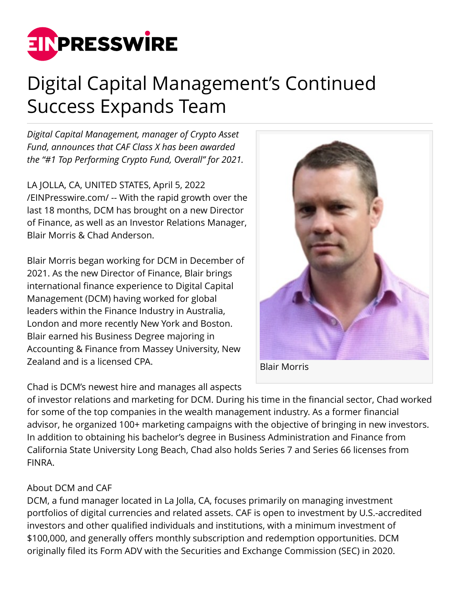

## Digital Capital Management's Continued Success Expands Team

*Digital Capital Management, manager of Crypto Asset Fund, announces that CAF Class X has been awarded the "#1 Top Performing Crypto Fund, Overall" for 2021.*

LA JOLLA, CA, UNITED STATES, April 5, 2022 [/EINPresswire.com/](http://www.einpresswire.com) -- With the rapid growth over the last 18 months, DCM has brought on a new Director of Finance, as well as an Investor Relations Manager, Blair Morris & Chad Anderson.

Blair Morris began working for DCM in December of 2021. As the new Director of Finance, Blair brings international finance experience to Digital Capital Management (DCM) having worked for global leaders within the Finance Industry in Australia, London and more recently New York and Boston. Blair earned his Business Degree majoring in Accounting & Finance from Massey University, New Zealand and is a licensed CPA.



Chad is DCM's newest hire and manages all aspects

of investor relations and marketing for DCM. During his time in the financial sector, Chad worked for some of the top companies in the wealth management industry. As a former financial advisor, he organized 100+ marketing campaigns with the objective of bringing in new investors. In addition to obtaining his bachelor's degree in Business Administration and Finance from California State University Long Beach, Chad also holds Series 7 and Series 66 licenses from FINRA.

## About DCM and CAF

DCM, a fund manager located in La Jolla, CA, focuses primarily on managing investment portfolios of digital currencies and related assets. CAF is open to investment by U.S.-accredited investors and other qualified individuals and institutions, with a minimum investment of \$100,000, and generally offers monthly subscription and redemption opportunities. DCM originally filed its Form ADV with the Securities and Exchange Commission (SEC) in 2020.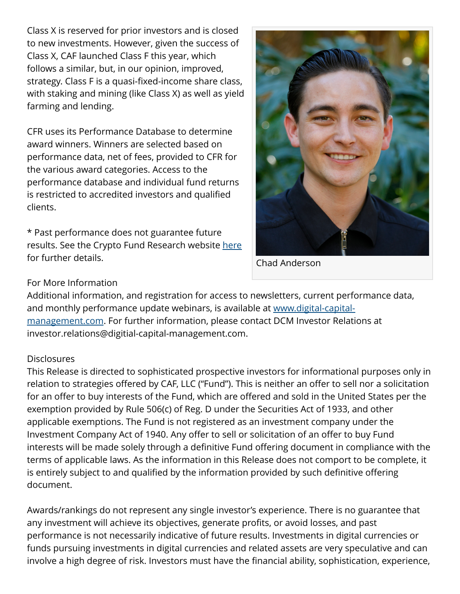Class X is reserved for prior investors and is closed to new investments. However, given the success of Class X, CAF launched Class F this year, which follows a similar, but, in our opinion, improved, strategy. Class F is a quasi-fixed-income share class, with staking and mining (like Class X) as well as yield farming and lending.

CFR uses its Performance Database to determine award winners. Winners are selected based on performance data, net of fees, provided to CFR for the various award categories. Access to the performance database and individual fund returns is restricted to accredited investors and qualified clients.

\* Past performance does not guarantee future results. See the Crypto Fund Research website [here](https://cryptofundresearch.com/crypto-fund-performance-awards/) for further details.



Chad Anderson

## For More Information

Additional information, and registration for access to newsletters, current performance data, and monthly performance update webinars, is available at [www.digital-capital](https://www.digital-capital-management.com/)[management.com.](https://www.digital-capital-management.com/) For further information, please contact DCM Investor Relations at investor.relations@digitial-capital-management.com.

## **Disclosures**

This Release is directed to sophisticated prospective investors for informational purposes only in relation to strategies offered by CAF, LLC ("Fund"). This is neither an offer to sell nor a solicitation for an offer to buy interests of the Fund, which are offered and sold in the United States per the exemption provided by Rule 506(c) of Reg. D under the Securities Act of 1933, and other applicable exemptions. The Fund is not registered as an investment company under the Investment Company Act of 1940. Any offer to sell or solicitation of an offer to buy Fund interests will be made solely through a definitive Fund offering document in compliance with the terms of applicable laws. As the information in this Release does not comport to be complete, it is entirely subject to and qualified by the information provided by such definitive offering document.

Awards/rankings do not represent any single investor's experience. There is no guarantee that any investment will achieve its objectives, generate profits, or avoid losses, and past performance is not necessarily indicative of future results. Investments in digital currencies or funds pursuing investments in digital currencies and related assets are very speculative and can involve a high degree of risk. Investors must have the financial ability, sophistication, experience,